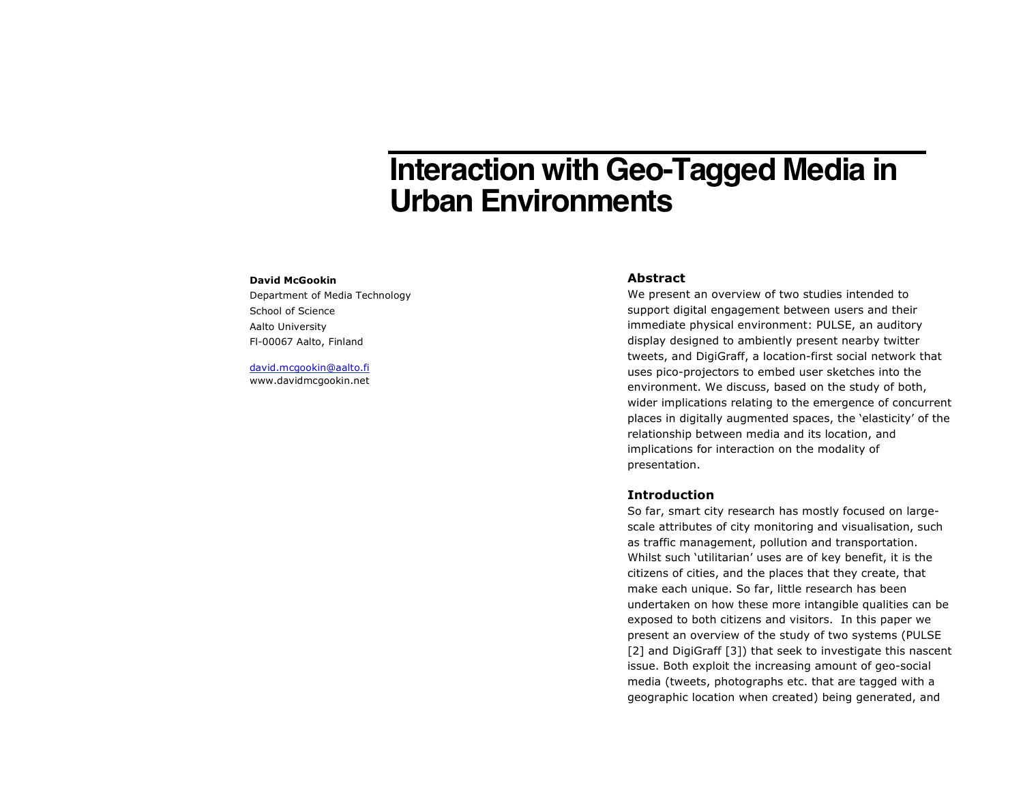# **Interaction with Geo-Tagged Media in Urban Environments**

#### **David McGookin**

Department of Media Technology School of Science Aalto University Fl-00067 Aalto, Finland

david.mcgookin@aalto.fi www.davidmcgookin.net

## **Abstract**

We present an overview of two studies intended to support digital engagement between users and their immediate physical environment: PULSE, an auditory display designed to ambiently present nearby twitter tweets, and DigiGraff, a location-first social network that uses pico-projectors to embed user sketches into the environment. We discuss, based on the study of both, wider implications relating to the emergence of concurrent places in digitally augmented spaces, the 'elasticity' of the relationship between media and its location, and implications for interaction on the modality of presentation.

## **Introduction**

So far, smart city research has mostly focused on largescale attributes of city monitoring and visualisation, such as traffic management, pollution and transportation. Whilst such 'utilitarian' uses are of key benefit, it is the citizens of cities, and the places that they create, that make each unique. So far, little research has been undertaken on how these more intangible qualities can be exposed to both citizens and visitors. In this paper we present an overview of the study of two systems (PULSE [2] and DigiGraff [3]) that seek to investigate this nascent issue. Both exploit the increasing amount of geo-social media (tweets, photographs etc. that are tagged with a geographic location when created) being generated, and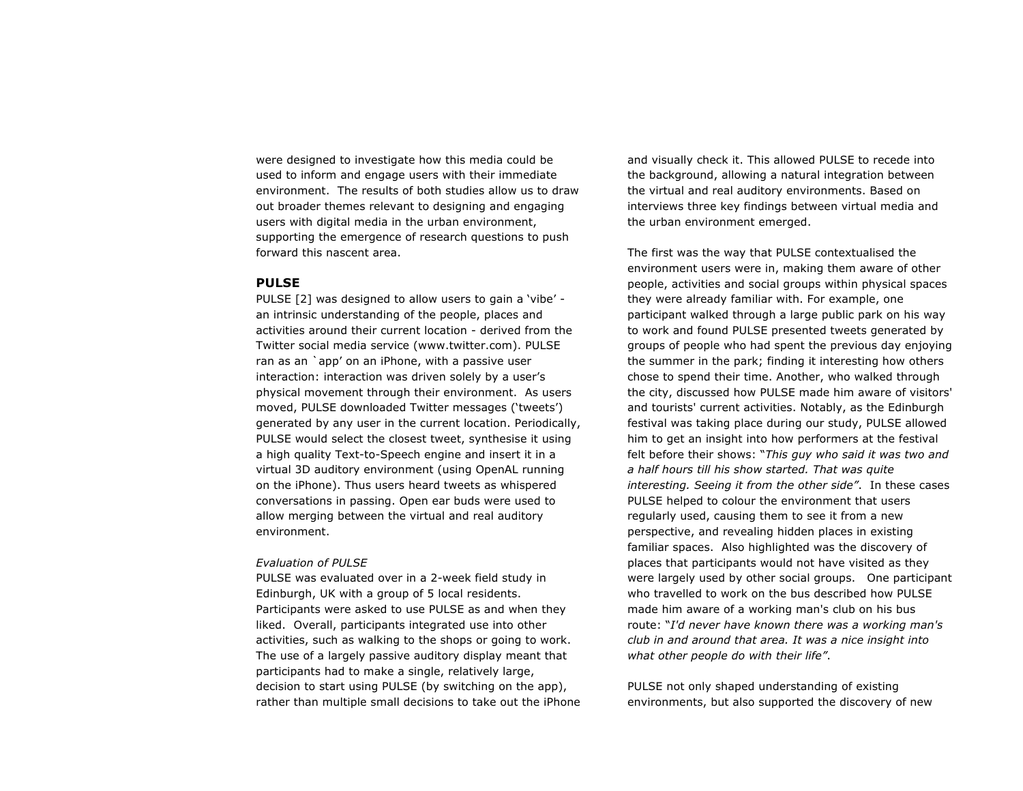were designed to investigate how this media could be used to inform and engage users with their immediate environment. The results of both studies allow us to draw out broader themes relevant to designing and engaging users with digital media in the urban environment, supporting the emergence of research questions to push forward this nascent area.

## **PULSE**

PULSE [2] was designed to allow users to gain a 'vibe' an intrinsic understanding of the people, places and activities around their current location - derived from the Twitter social media service (www.twitter.com). PULSE ran as an `app' on an iPhone, with a passive user interaction: interaction was driven solely by a user's physical movement through their environment. As users moved, PULSE downloaded Twitter messages ('tweets') generated by any user in the current location. Periodically, PULSE would select the closest tweet, synthesise it using a high quality Text-to-Speech engine and insert it in a virtual 3D auditory environment (using OpenAL running on the iPhone). Thus users heard tweets as whispered conversations in passing. Open ear buds were used to allow merging between the virtual and real auditory environment.

#### *Evaluation of PULSE*

PULSE was evaluated over in a 2-week field study in Edinburgh, UK with a group of 5 local residents. Participants were asked to use PULSE as and when they liked. Overall, participants integrated use into other activities, such as walking to the shops or going to work. The use of a largely passive auditory display meant that participants had to make a single, relatively large, decision to start using PULSE (by switching on the app), rather than multiple small decisions to take out the iPhone and visually check it. This allowed PULSE to recede into the background, allowing a natural integration between the virtual and real auditory environments. Based on interviews three key findings between virtual media and the urban environment emerged.

The first was the way that PULSE contextualised the environment users were in, making them aware of other people, activities and social groups within physical spaces they were already familiar with. For example, one participant walked through a large public park on his way to work and found PULSE presented tweets generated by groups of people who had spent the previous day enjoying the summer in the park; finding it interesting how others chose to spend their time. Another, who walked through the city, discussed how PULSE made him aware of visitors' and tourists' current activities. Notably, as the Edinburgh festival was taking place during our study, PULSE allowed him to get an insight into how performers at the festival felt before their shows: "*This guy who said it was two and a half hours till his show started. That was quite interesting. Seeing it from the other side"*. In these cases PULSE helped to colour the environment that users regularly used, causing them to see it from a new perspective, and revealing hidden places in existing familiar spaces. Also highlighted was the discovery of places that participants would not have visited as they were largely used by other social groups. One participant who travelled to work on the bus described how PULSE made him aware of a working man's club on his bus route: "*I'd never have known there was a working man's club in and around that area. It was a nice insight into what other people do with their life"*.

PULSE not only shaped understanding of existing environments, but also supported the discovery of new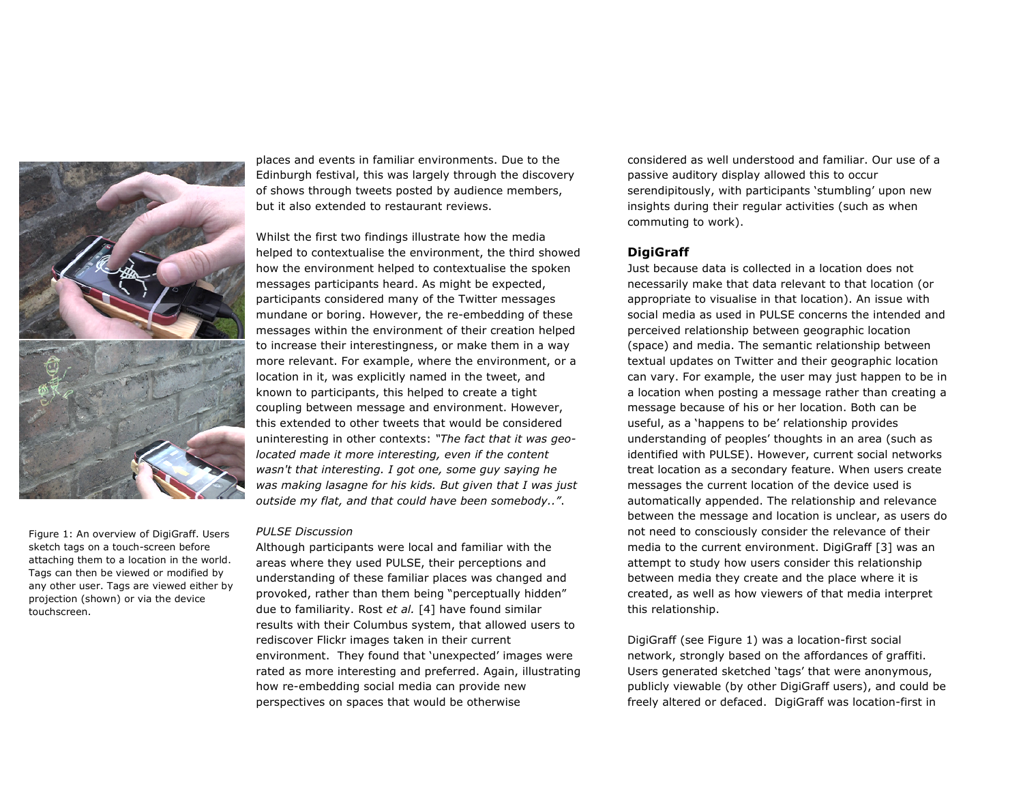

Figure 1: An overview of DigiGraff. Users sketch tags on a touch-screen before attaching them to a location in the world. Tags can then be viewed or modified by any other user. Tags are viewed either by projection (shown) or via the device touchscreen.

places and events in familiar environments. Due to the Edinburgh festival, this was largely through the discovery of shows through tweets posted by audience members, but it also extended to restaurant reviews.

Whilst the first two findings illustrate how the media helped to contextualise the environment, the third showed how the environment helped to contextualise the spoken messages participants heard. As might be expected, participants considered many of the Twitter messages mundane or boring. However, the re-embedding of these messages within the environment of their creation helped to increase their interestingness, or make them in a way more relevant. For example, where the environment, or a location in it, was explicitly named in the tweet, and known to participants, this helped to create a tight coupling between message and environment. However, this extended to other tweets that would be considered uninteresting in other contexts: *"The fact that it was geolocated made it more interesting, even if the content wasn't that interesting. I got one, some guy saying he was making lasagne for his kids. But given that I was just outside my flat, and that could have been somebody.."*.

## *PULSE Discussion*

Although participants were local and familiar with the areas where they used PULSE, their perceptions and understanding of these familiar places was changed and provoked, rather than them being "perceptually hidden" due to familiarity. Rost *et al.* [4] have found similar results with their Columbus system, that allowed users to rediscover Flickr images taken in their current environment. They found that 'unexpected' images were rated as more interesting and preferred. Again, illustrating how re-embedding social media can provide new perspectives on spaces that would be otherwise

considered as well understood and familiar. Our use of a passive auditory display allowed this to occur serendipitously, with participants 'stumbling' upon new insights during their regular activities (such as when commuting to work).

## **DigiGraff**

Just because data is collected in a location does not necessarily make that data relevant to that location (or appropriate to visualise in that location). An issue with social media as used in PULSE concerns the intended and perceived relationship between geographic location (space) and media. The semantic relationship between textual updates on Twitter and their geographic location can vary. For example, the user may just happen to be in a location when posting a message rather than creating a message because of his or her location. Both can be useful, as a 'happens to be' relationship provides understanding of peoples' thoughts in an area (such as identified with PULSE). However, current social networks treat location as a secondary feature. When users create messages the current location of the device used is automatically appended. The relationship and relevance between the message and location is unclear, as users do not need to consciously consider the relevance of their media to the current environment. DigiGraff [3] was an attempt to study how users consider this relationship between media they create and the place where it is created, as well as how viewers of that media interpret this relationship.

DigiGraff (see Figure 1) was a location-first social network, strongly based on the affordances of graffiti. Users generated sketched 'tags' that were anonymous, publicly viewable (by other DigiGraff users), and could be freely altered or defaced. DigiGraff was location-first in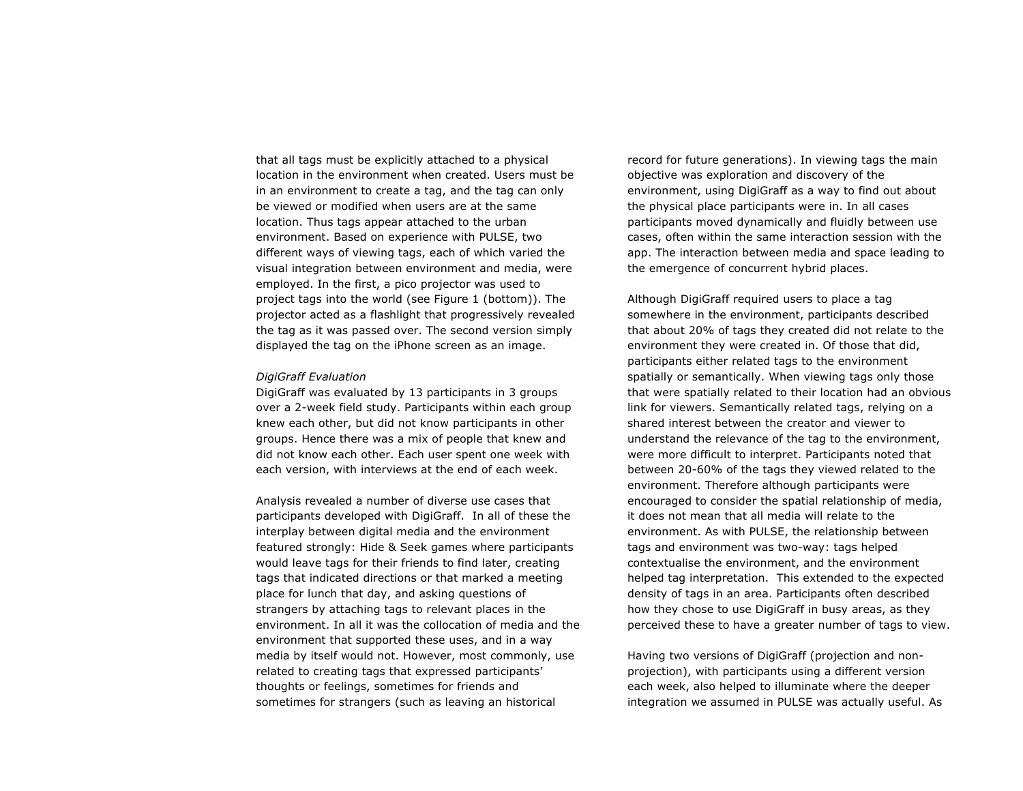that all tags must be explicitly attached to a physical location in the environment when created. Users must be in an environment to create a tag, and the tag can only be viewed or modified when users are at the same location. Thus tags appear attached to the urban environment. Based on experience with PULSE, two different ways of viewing tags, each of which varied the visual integration between environment and media, were employed. In the first, a pico projector was used to project tags into the world (see Figure 1 (bottom)). The projector acted as a flashlight that progressively revealed the tag as it was passed over. The second version simply displayed the tag on the iPhone screen as an image.

#### *DigiGraff Evaluation*

DigiGraff was evaluated by 13 participants in 3 groups over a 2-week field study. Participants within each group knew each other, but did not know participants in other groups. Hence there was a mix of people that knew and did not know each other. Each user spent one week with each version, with interviews at the end of each week.

Analysis revealed a number of diverse use cases that participants developed with DigiGraff. In all of these the interplay between digital media and the environment featured strongly: Hide & Seek games where participants would leave tags for their friends to find later, creating tags that indicated directions or that marked a meeting place for lunch that day, and asking questions of strangers by attaching tags to relevant places in the environment. In all it was the collocation of media and the environment that supported these uses, and in a way media by itself would not. However, most commonly, use related to creating tags that expressed participants' thoughts or feelings, sometimes for friends and sometimes for strangers (such as leaving an historical

record for future generations). In viewing tags the main objective was exploration and discovery of the environment, using DigiGraff as a way to find out about the physical place participants were in. In all cases participants moved dynamically and fluidly between use cases, often within the same interaction session with the app. The interaction between media and space leading to the emergence of concurrent hybrid places.

Although DigiGraff required users to place a tag somewhere in the environment, participants described that about 20% of tags they created did not relate to the environment they were created in. Of those that did, participants either related tags to the environment spatially or semantically. When viewing tags only those that were spatially related to their location had an obvious link for viewers. Semantically related tags, relying on a shared interest between the creator and viewer to understand the relevance of the tag to the environment, were more difficult to interpret. Participants noted that between 20-60% of the tags they viewed related to the environment. Therefore although participants were encouraged to consider the spatial relationship of media, it does not mean that all media will relate to the environment. As with PULSE, the relationship between tags and environment was two-way: tags helped contextualise the environment, and the environment helped tag interpretation. This extended to the expected density of tags in an area. Participants often described how they chose to use DigiGraff in busy areas, as they perceived these to have a greater number of tags to view.

Having two versions of DigiGraff (projection and nonprojection), with participants using a different version each week, also helped to illuminate where the deeper integration we assumed in PULSE was actually useful. As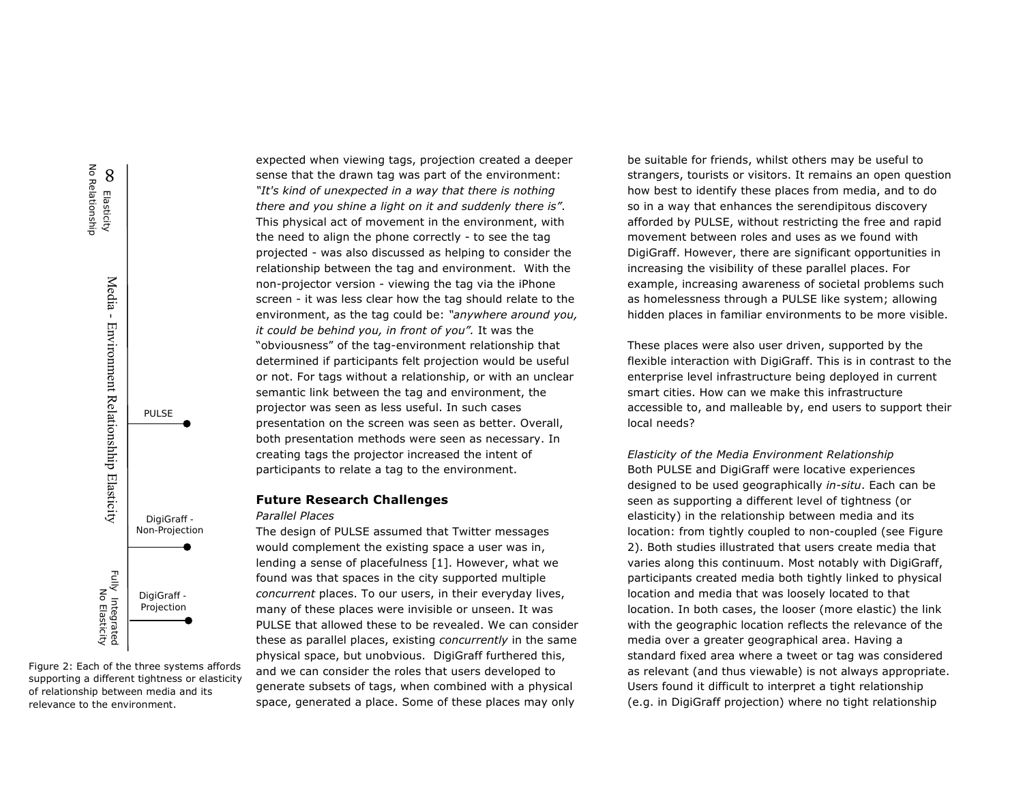



Figure 2: Each of the three systems affords supporting a different tightness or elasticity of relationship between media and its relevance to the environment.

expected when viewing tags, projection created a deeper sense that the drawn tag was part of the environment: *"It's kind of unexpected in a way that there is nothing there and you shine a light on it and suddenly there is"*. This physical act of movement in the environment, with the need to align the phone correctly - to see the tag projected - was also discussed as helping to consider the relationship between the tag and environment. With the non-projector version - viewing the tag via the iPhone screen - it was less clear how the tag should relate to the environment, as the tag could be: *"anywhere around you, it could be behind you, in front of you".* It was the "obviousness" of the tag-environment relationship that determined if participants felt projection would be useful or not. For tags without a relationship, or with an unclear semantic link between the tag and environment, the projector was seen as less useful. In such cases presentation on the screen was seen as better. Overall, both presentation methods were seen as necessary. In creating tags the projector increased the intent of participants to relate a tag to the environment.

#### **Future Research Challenges**

#### *Parallel Places*

The design of PULSE assumed that Twitter messages would complement the existing space a user was in, lending a sense of placefulness [1]. However, what we found was that spaces in the city supported multiple *concurrent* places. To our users, in their everyday lives, many of these places were invisible or unseen. It was PULSE that allowed these to be revealed. We can consider these as parallel places, existing *concurrently* in the same physical space, but unobvious. DigiGraff furthered this, and we can consider the roles that users developed to generate subsets of tags, when combined with a physical space, generated a place. Some of these places may only

be suitable for friends, whilst others may be useful to strangers, tourists or visitors. It remains an open question how best to identify these places from media, and to do so in a way that enhances the serendipitous discovery afforded by PULSE, without restricting the free and rapid movement between roles and uses as we found with DigiGraff. However, there are significant opportunities in increasing the visibility of these parallel places. For example, increasing awareness of societal problems such as homelessness through a PULSE like system; allowing hidden places in familiar environments to be more visible.

These places were also user driven, supported by the flexible interaction with DigiGraff. This is in contrast to the enterprise level infrastructure being deployed in current smart cities. How can we make this infrastructure accessible to, and malleable by, end users to support their local needs?

*Elasticity of the Media Environment Relationship* Both PULSE and DigiGraff were locative experiences designed to be used geographically *in-situ*. Each can be seen as supporting a different level of tightness (or elasticity) in the relationship between media and its location: from tightly coupled to non-coupled (see Figure 2). Both studies illustrated that users create media that varies along this continuum. Most notably with DigiGraff, participants created media both tightly linked to physical location and media that was loosely located to that location. In both cases, the looser (more elastic) the link with the geographic location reflects the relevance of the media over a greater geographical area. Having a standard fixed area where a tweet or tag was considered as relevant (and thus viewable) is not always appropriate. Users found it difficult to interpret a tight relationship (e.g. in DigiGraff projection) where no tight relationship